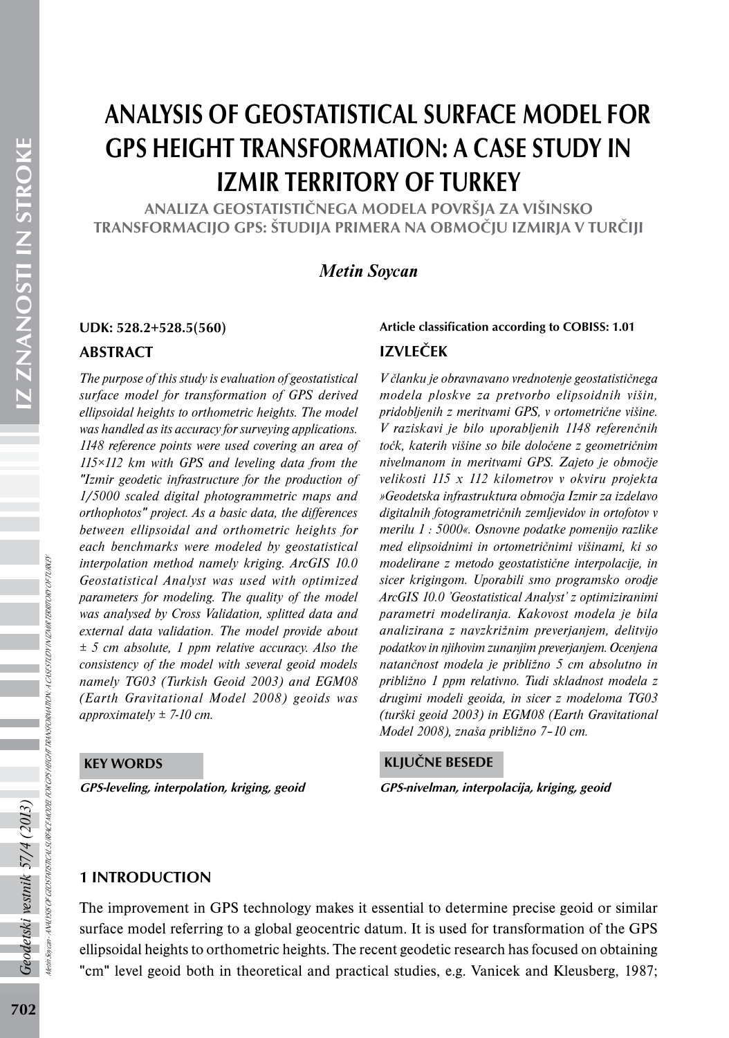# ANALYSIS OF GEOSTATISTICAL SURFACE MODEL FOR GPS HEIGHT TRANSFORMATION: A CASE STUDY IN IZMIR TERRITORY OF TURKEY

ANALIZA GEOSTATISTIČNEGA MODELA POVRŠJA ZA VIŠINSKO TRANSFORMACIJO GPS: ŠTUDIJA PRIMERA NA OBMOČJU IZMIRJA V TURČIJI

# *Metin Soycan*

#### ABSTRACT

*The purpose of this study is evaluation of geostatistical surface model for transformation of GPS derived ellipsoidal heights to orthometric heights. The model was handled as its accuracy for surveying applications. 1148 reference points were used covering an area of 115×112 km with GPS and leveling data from the "Izmir geodetic infrastructure for the production of 1/5000 scaled digital photogrammetric maps and orthophotos" project. As a basic data, the differences between ellipsoidal and orthometric heights for each benchmarks were modeled by geostatistical interpolation method namely kriging. ArcGIS 10.0 Geostatistical Analyst was used with optimized parameters for modeling. The quality of the model was analysed by Cross Validation, splitted data and external data validation. The model provide about ± 5 cm absolute, 1 ppm relative accuracy. Also the consistency of the model with several geoid models namely TG03 (Turkish Geoid 2003) and EGM08 (Earth Gravitational Model 2008) geoids was approximately ± 7-10 cm.*

#### KEY WORDS

GPS-leveling, interpolation, kriging, geoid GPS-nivelman, interpolacija, kriging, geoid

# IZVLEČEK UDK: 528.2+528.5(560) Article classification according to COBISS: 1.01

*V članku je obravnavano vrednotenje geostatističnega modela ploskve za pretvorbo elipsoidnih višin, pridobljenih z meritvami GPS, v ortometrične višine. V raziskavi je bilo uporabljenih 1148 referenčnih točk, katerih višine so bile določene z geometričnim nivelmanom in meritvami GPS. Zajeto je območje velikosti 115 x 112 kilometrov v okviru projekta »Geodetska infrastruktura območja Izmir za izdelavo digitalnih fotogrametričnih zemljevidov in ortofotov v merilu 1 : 5000«. Osnovne podatke pomenijo razlike med elipsoidnimi in ortometričnimi višinami, ki so modelirane z metodo geostatistične interpolacije, in sicer krigingom. Uporabili smo programsko orodje ArcGIS 10.0 'Geostatistical Analyst' z optimiziranimi parametri modeliranja. Kakovost modela je bila analizirana z navzkrižnim preverjanjem, delitvijo podatkov in njihovim zunanjim preverjanjem. Ocenjena natančnost modela je približno 5 cm absolutno in približno 1 ppm relativno. Tudi skladnost modela z drugimi modeli geoida, in sicer z modeloma TG03 (turški geoid 2003) in EGM08 (Earth Gravitational Model 2008), znaša približno 7–10 cm.*

#### KLJUČNE BESEDE

#### 1 INTRODUCTION

The improvement in GPS technology makes it essential to determine precise geoid or similar surface model referring to a global geocentric datum. It is used for transformation of the GPS ellipsoidal heights to orthometric heights. The recent geodetic research has focused on obtaining "cm" level geoid both in theoretical and practical studies, e.g. Vanicek and Kleusberg, 1987;

Geodetski vestnik 57/4 (2013)

Metin Soycan - ANALYSIS OF GEOSTATISTICAL SURFACE MODEL FOR GPS HEIGHT TRANSFORMATION: A CASE STUDY IN IZMIR TERRITORY OF TURKEY

ANALYSIS OF GEOSTATISTICAL SURFACE MODEL FOR OFS HEGIHT TRANSFORMATION : A CASESTLOY IN IZMIRI TERRITORY OF TURKEY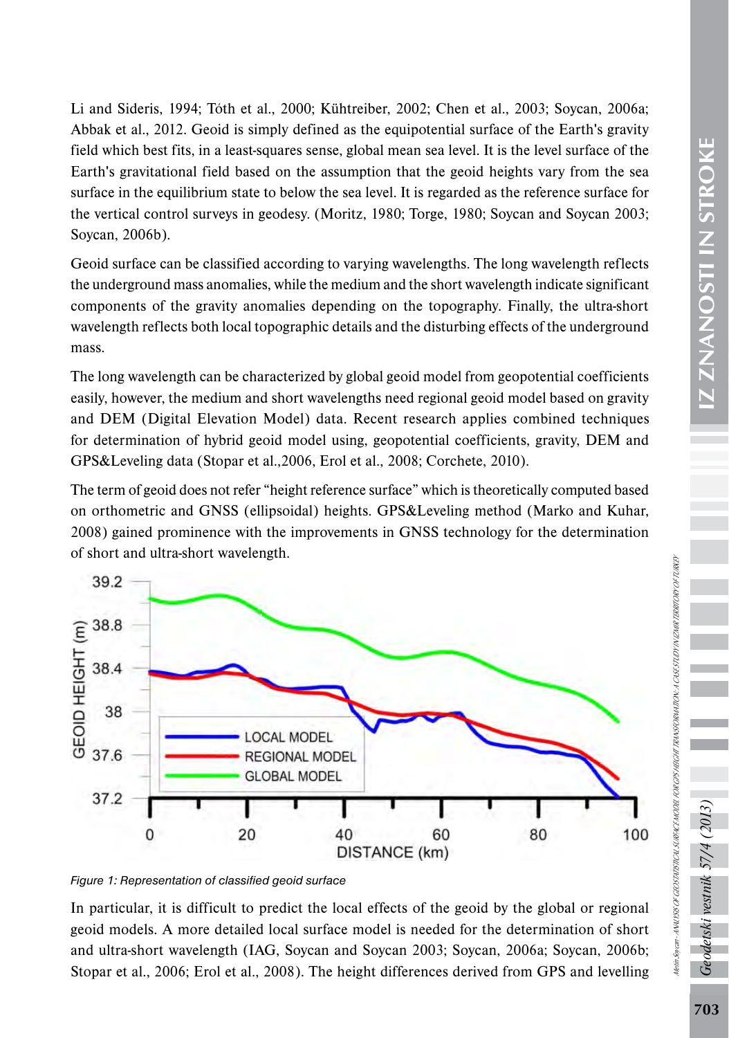Li and Sideris, 1994; Tóth et al., 2000; Kühtreiber, 2002; Chen et al., 2003; Soycan, 2006a; Abbak et al., 2012. Geoid is simply defined as the equipotential surface of the Earth's gravity field which best fits, in a least-squares sense, global mean sea level. It is the level surface of the Earth's gravitational field based on the assumption that the geoid heights vary from the sea surface in the equilibrium state to below the sea level. It is regarded as the reference surface for the vertical control surveys in geodesy. (Moritz, 1980; Torge, 1980; Soycan and Soycan 2003; Soycan, 2006b).

Geoid surface can be classified according to varying wavelengths. The long wavelength reflects the underground mass anomalies, while the medium and the short wavelength indicate significant components of the gravity anomalies depending on the topography. Finally, the ultra-short wavelength reflects both local topographic details and the disturbing effects of the underground mass.

The long wavelength can be characterized by global geoid model from geopotential coefficients easily, however, the medium and short wavelengths need regional geoid model based on gravity and DEM (Digital Elevation Model) data. Recent research applies combined techniques for determination of hybrid geoid model using, geopotential coefficients, gravity, DEM and GPS&Leveling data (Stopar et al.,2006, Erol et al., 2008; Corchete, 2010).

The term of geoid does not refer "height reference surface" which is theoretically computed based on orthometric and GNSS (ellipsoidal) heights. GPS&Leveling method (Marko and Kuhar, 2008) gained prominence with the improvements in GNSS technology for the determination of short and ultra-short wavelength.



*Figure 1: Representation of classified geoid surface* 

In particular, it is difficult to predict the local effects of the geoid by the global or regional geoid models. A more detailed local surface model is needed for the determination of short and ultra-short wavelength (IAG, Soycan and Soycan 2003; Soycan, 2006a; Soycan, 2006b; Stopar et al., 2006; Erol et al., 2008). The height differences derived from GPS and levelling Geodetski vestnik 57/4 (2013,

Metin Soycan - ANALYSIS OF GEOSTATISTICAL SURFACE MODEL FOR GPS HEIGHT TRANSFORMATION: A CASE STUDY IN IZMIR TERRITORY OF TURKEY

Netti Soveti - ANNUSIS OF GEOSTATSTICAL SURFACE MODEL FOR GYS HEGHT TRANSFORMATION: A CASESTUDI IN VE MERITORI OF TURKEY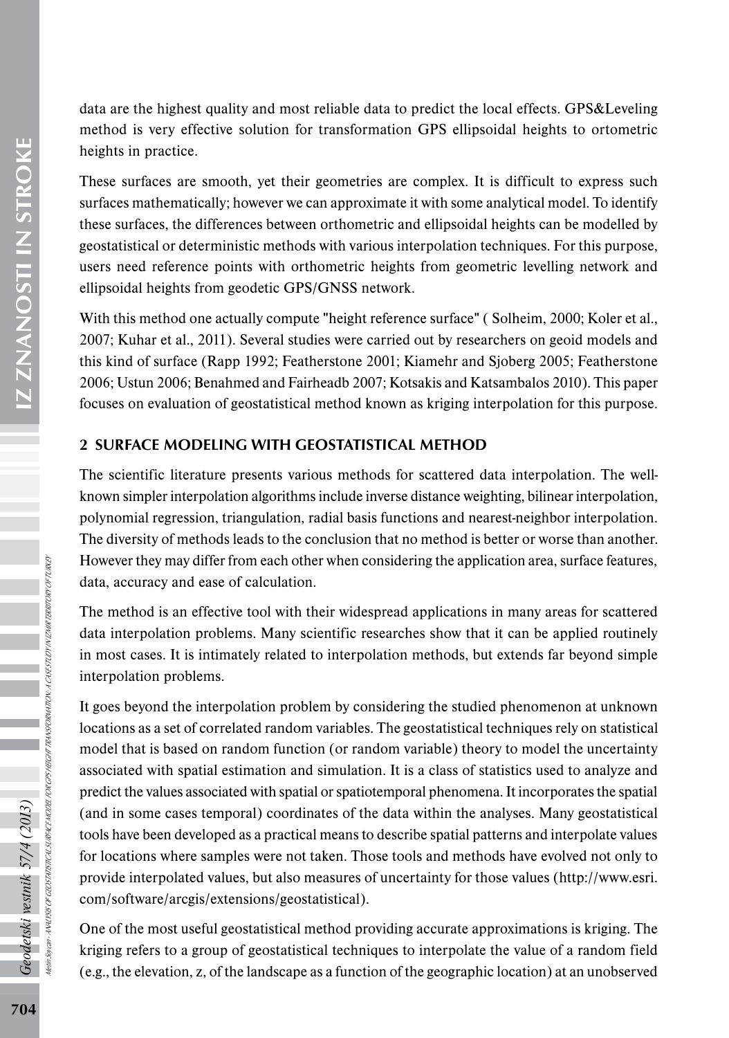IZ ZNANOSTI IN STROKE 704*Geodetski vestnik 57/4 (2013)* IZ ZNANOSTI IN STROKE

Metin Soycan - ANALYSIS OF GEOSTATISTICAL SURFACE MODEL FOR GPS HEIGHT TRANSFORMATION: A CASE STUDY IN IZMIR TERRITORY OF TURKEY SIS OF GEOSTATSTICAL SURFACE MODEL FOR CIS HEGHT TRANSFORMATION: A CASESTUDY IN VENIR TERRITORY OFTURKEY Geodetski vestnik 57/4 (2013)<br><sub>Meinsoran-Avusss or ceostustoru susuce nora</sub> data are the highest quality and most reliable data to predict the local effects. GPS&Leveling method is very effective solution for transformation GPS ellipsoidal heights to ortometric heights in practice.

These surfaces are smooth, yet their geometries are complex. It is difficult to express such surfaces mathematically; however we can approximate it with some analytical model. To identify these surfaces, the differences between orthometric and ellipsoidal heights can be modelled by geostatistical or deterministic methods with various interpolation techniques. For this purpose, users need reference points with orthometric heights from geometric levelling network and ellipsoidal heights from geodetic GPS/GNSS network.

With this method one actually compute "height reference surface" (Solheim, 2000; Koler et al., 2007; Kuhar et al., 2011). Several studies were carried out by researchers on geoid models and this kind of surface (Rapp 1992; Featherstone 2001; Kiamehr and Sjoberg 2005; Featherstone 2006; Ustun 2006; Benahmed and Fairheadb 2007; Kotsakis and Katsambalos 2010). This paper focuses on evaluation of geostatistical method known as kriging interpolation for this purpose.

# 2 SURFACE MODELING WITH GEOSTATISTICAL METHOD

The scientific literature presents various methods for scattered data interpolation. The wellknown simpler interpolation algorithms include inverse distance weighting, bilinear interpolation, polynomial regression, triangulation, radial basis functions and nearest-neighbor interpolation. The diversity of methods leads to the conclusion that no method is better or worse than another. However they may differ from each other when considering the application area, surface features, data, accuracy and ease of calculation.

The method is an effective tool with their widespread applications in many areas for scattered data interpolation problems. Many scientific researches show that it can be applied routinely in most cases. It is intimately related to interpolation methods, but extends far beyond simple interpolation problems.

It goes beyond the interpolation problem by considering the studied phenomenon at unknown locations as a set of correlated random variables. The geostatistical techniques rely on statistical model that is based on random function (or random variable) theory to model the uncertainty associated with spatial estimation and simulation. It is a class of statistics used to analyze and predict the values associated with spatial or spatiotemporal phenomena. It incorporates the spatial (and in some cases temporal) coordinates of the data within the analyses. Many geostatistical tools have been developed as a practical means to describe spatial patterns and interpolate values for locations where samples were not taken. Those tools and methods have evolved not only to provide interpolated values, but also measures of uncertainty for those values (http://www.esri. com/software/arcgis/extensions/geostatistical).

One of the most useful geostatistical method providing accurate approximations is kriging. The kriging refers to a group of geostatistical techniques to interpolate the value of a random field (e.g., the elevation, z, of the landscape as a function of the geographic location) at an unobserved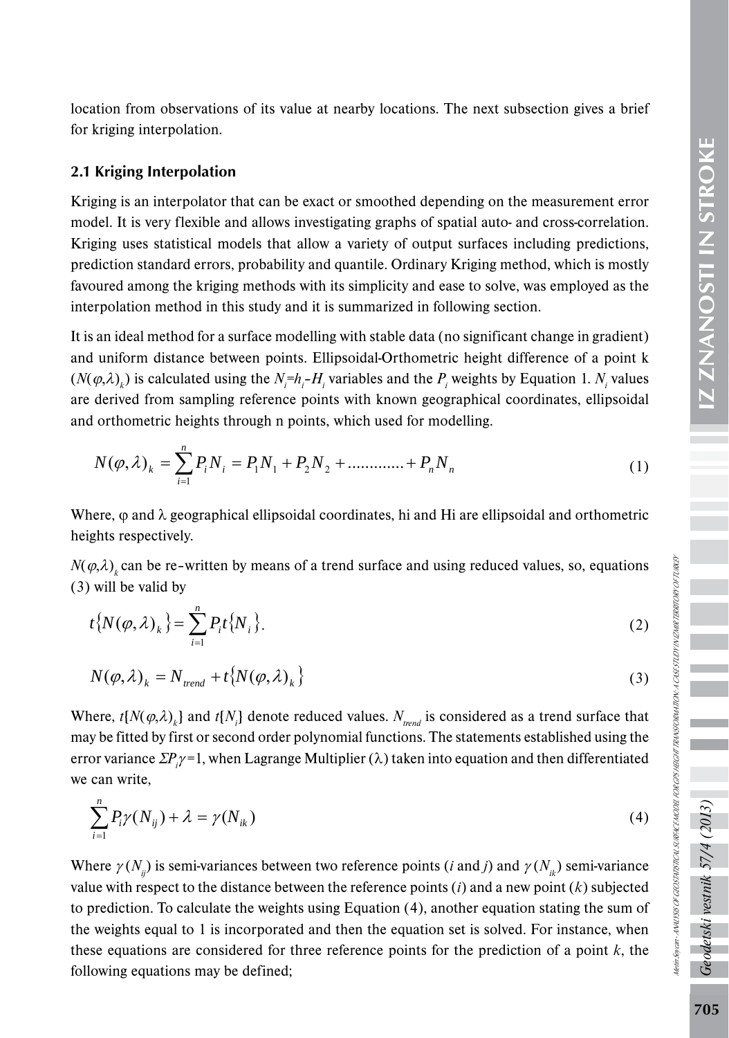location from observations of its value at nearby locations. The next subsection gives a brief for kriging interpolation.

#### 2.1 Kriging Interpolation

Kriging is an interpolator that can be exact or smoothed depending on the measurement error model. It is very flexible and allows investigating graphs of spatial auto- and cross-correlation. Kriging uses statistical models that allow a variety of output surfaces including predictions, prediction standard errors, probability and quantile. Ordinary Kriging method, which is mostly favoured among the kriging methods with its simplicity and ease to solve, was employed as the interpolation method in this study and it is summarized in following section.

It is an ideal method for a surface modelling with stable data (no significant change in gradient) and uniform distance between points. Ellipsoidal-Orthometric height difference of a point k  $(N(\varphi,\lambda)_k)$  is calculated using the  $N_i = h_i - H_i$  variables and the  $P_i$  weights by Equation 1.  $N_i$  values are derived from sampling reference points with known geographical coordinates, ellipsoidal and orthometric heights through n points, which used for modelling.

$$
N(\varphi,\lambda)_k = \sum_{i=1}^n P_i N_i = P_1 N_1 + P_2 N_2 + \dots + P_n N_n
$$
\n(1)

Where,  $\varphi$  and  $\lambda$  geographical ellipsoidal coordinates, hi and Hi are ellipsoidal and orthometric heights respectively.

 $N(\varphi, \lambda)$  can be re–written by means of a trend surface and using reduced values, so, equations (3) will be valid by

$$
t\{N(\varphi,\lambda)_k\} = \sum_{i=1}^n P_i t\{N_i\}.
$$
 (2)

$$
N(\varphi,\lambda)_k = N_{trend} + t\{N(\varphi,\lambda)_k\}
$$
\n(3)

Where,  $t[N(\varphi,\lambda)_k]$  and  $t[N_i]$  denote reduced values.  $N_{trend}$  is considered as a trend surface that may be fitted by first or second order polynomial functions. The statements established using the error variance Σ*Pi* <sup>γ</sup> =1, when Lagrange Multiplier (λ) taken into equation and then differentiated we can write,

$$
\sum_{i=1}^{n} P_i \gamma(N_{ij}) + \lambda = \gamma(N_{ik})
$$
\n(4)

Where  $\gamma(N_i)$  is semi-variances between two reference points (*i* and *j*) and  $\gamma(N_i)$  semi-variance value with respect to the distance between the reference points (*i*) and a new point (*k*) subjected to prediction. To calculate the weights using Equation (4), another equation stating the sum of the weights equal to 1 is incorporated and then the equation set is solved. For instance, when these equations are considered for three reference points for the prediction of a point *k*, the following equations may be defined;

Geodetski vestnik 57/4 (2013)

Metin Soycan - ANALYSIS OF GEOSTATISTICAL SURFACE MODEL FOR GPS HEIGHT TRANSFORMATION: A CASE STUDY IN IZMIR TERRITORY OF TURKEY

Hetti Soycar - MAU 1950 F GEOSTATSTICAL SURFICE MODEL FOR GPS HEGHT TRANSFORMATION: A CASSSTLOT IN IZHUR TERRITORY OFTURKER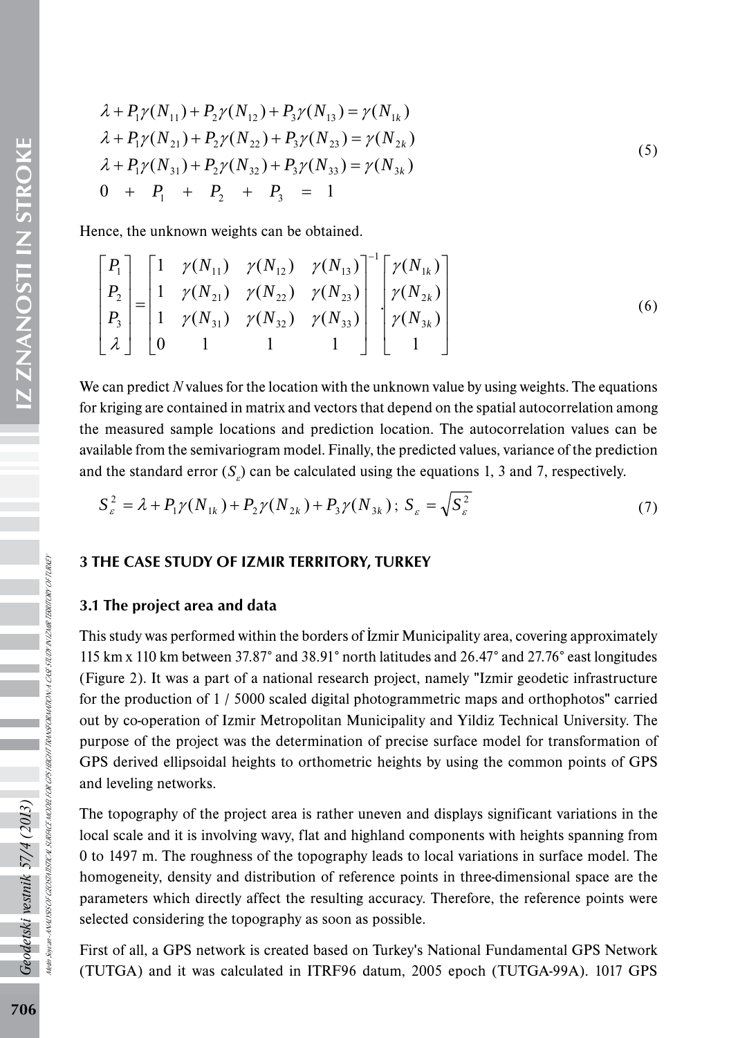$$
\lambda + P_1 \gamma(N_{11}) + P_2 \gamma(N_{12}) + P_3 \gamma(N_{13}) = \gamma(N_{1k})
$$
\n
$$
\lambda + P_1 \gamma(N_{21}) + P_2 \gamma(N_{22}) + P_3 \gamma(N_{23}) = \gamma(N_{2k})
$$
\n
$$
\lambda + P_1 \gamma(N_{31}) + P_2 \gamma(N_{32}) + P_3 \gamma(N_{33}) = \gamma(N_{3k})
$$
\n
$$
0 + P_1 + P_2 + P_3 = 1
$$
\n(5)

Hence, the unknown weights can be obtained.

$$
\begin{bmatrix} P_1 \\ P_2 \\ P_3 \\ \lambda \end{bmatrix} = \begin{bmatrix} 1 & \gamma(N_{11}) & \gamma(N_{12}) & \gamma(N_{13}) \\ 1 & \gamma(N_{21}) & \gamma(N_{22}) & \gamma(N_{23}) \\ 1 & \gamma(N_{31}) & \gamma(N_{32}) & \gamma(N_{33}) \\ 0 & 1 & 1 & 1 \end{bmatrix}^{-1} \begin{bmatrix} \gamma(N_{1k}) \\ \gamma(N_{2k}) \\ \gamma(N_{3k}) \\ 1 \end{bmatrix}
$$
 (6)

We can predict *N* values for the location with the unknown value by using weights. The equations for kriging are contained in matrix and vectors that depend on the spatial autocorrelation among the measured sample locations and prediction location. The autocorrelation values can be available from the semivariogram model. Finally, the predicted values, variance of the prediction and the standard error  $(S_g)$  can be calculated using the equations 1, 3 and 7, respectively.

$$
S_{\varepsilon}^{2} = \lambda + P_{1} \gamma (N_{1k}) + P_{2} \gamma (N_{2k}) + P_{3} \gamma (N_{3k}); \ S_{\varepsilon} = \sqrt{S_{\varepsilon}^{2}}
$$
 (7)

#### 3 THE CASE STUDY OF IZMIR TERRITORY, TURKEY

#### 3.1 The project area and data

This study was performed within the borders of İzmir Municipality area, covering approximately 115 km x 110 km between 37.87° and 38.91° north latitudes and 26.47° and 27.76° east longitudes (Figure 2). It was a part of a national research project, namely "Izmir geodetic infrastructure for the production of 1 / 5000 scaled digital photogrammetric maps and orthophotos" carried out by co-operation of Izmir Metropolitan Municipality and Yildiz Technical University. The purpose of the project was the determination of precise surface model for transformation of GPS derived ellipsoidal heights to orthometric heights by using the common points of GPS and leveling networks.

The topography of the project area is rather uneven and displays significant variations in the local scale and it is involving wavy, flat and highland components with heights spanning from 0 to 1497 m. The roughness of the topography leads to local variations in surface model. The homogeneity, density and distribution of reference points in three-dimensional space are the parameters which directly affect the resulting accuracy. Therefore, the reference points were selected considering the topography as soon as possible.

First of all, a GPS network is created based on Turkey's National Fundamental GPS Network (TUTGA) and it was calculated in ITRF96 datum, 2005 epoch (TUTGA-99A). 1017 GPS

Geodetski vestnik 57/4 (2013)

Metin Soycan - ANALYSIS OF GEOSTATISTICAL SURFACE MODEL FOR GPS HEIGHT TRANSFORMATION: A CASE STUDY IN IZMIR TERRITORY OF TURKEY

TISTICAL SURFACE MODEL FOR CPS HEIGHT TRANSFORMATION: A CASE STUDY IN LEMIR TERRITORY OF TURKET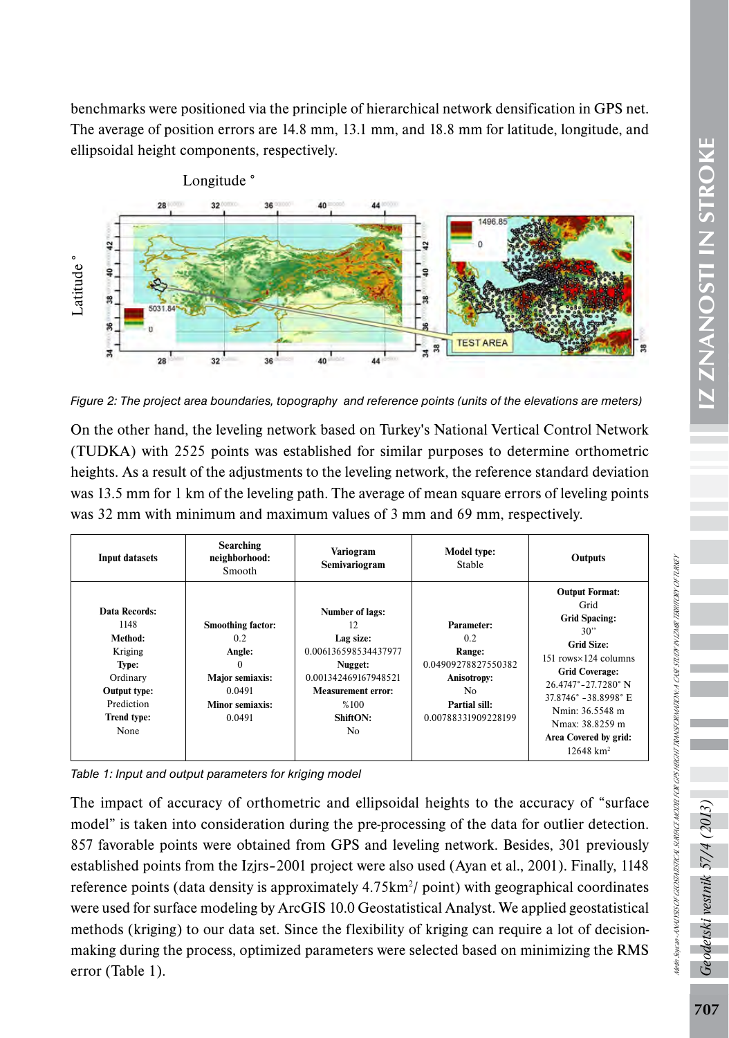benchmarks were positioned via the principle of hierarchical network densification in GPS net. The average of position errors are 14.8 mm, 13.1 mm, and 18.8 mm for latitude, longitude, and ellipsoidal height components, respectively.



*Figure 2: The project area boundaries, topography and reference points (units of the elevations are meters)*

| Latitude <sup>®</sup><br>ន្<br>38.<br>5031.84<br>8.<br>$\frac{4}{3}$<br>28                                                   | 32<br>36                                                                                                               | 44<br>40                                                                                                                                                    | 38<br><b>TEST AREA</b><br>38<br>34                                                                                     |                                                                                                                                                                                                                                                                                            |  |
|------------------------------------------------------------------------------------------------------------------------------|------------------------------------------------------------------------------------------------------------------------|-------------------------------------------------------------------------------------------------------------------------------------------------------------|------------------------------------------------------------------------------------------------------------------------|--------------------------------------------------------------------------------------------------------------------------------------------------------------------------------------------------------------------------------------------------------------------------------------------|--|
|                                                                                                                              |                                                                                                                        |                                                                                                                                                             |                                                                                                                        | Figure 2: The project area boundaries, topography and reference points (units of the elevations are meters)                                                                                                                                                                                |  |
|                                                                                                                              |                                                                                                                        |                                                                                                                                                             |                                                                                                                        | On the other hand, the leveling network based on Turkey's National Vertical Control Network<br>(TUDKA) with 2525 points was established for similar purposes to determine orthometric<br>heights. As a result of the adjustments to the leveling network, the reference standard deviation |  |
|                                                                                                                              |                                                                                                                        |                                                                                                                                                             |                                                                                                                        | was 13.5 mm for 1 km of the leveling path. The average of mean square errors of leveling points                                                                                                                                                                                            |  |
|                                                                                                                              |                                                                                                                        | was 32 mm with minimum and maximum values of 3 mm and 69 mm, respectively.                                                                                  |                                                                                                                        |                                                                                                                                                                                                                                                                                            |  |
| <b>Input datasets</b>                                                                                                        | <b>Searching</b><br>neighborhood:<br>Smooth                                                                            | Variogram<br>Semivariogram                                                                                                                                  | Model type:<br>Stable                                                                                                  | Outputs                                                                                                                                                                                                                                                                                    |  |
| Data Records:<br>1148<br>Method:<br>Kriging<br>Type:<br>Ordinary<br>Output type:<br>Prediction<br><b>Trend type:</b><br>None | Smoothing factor:<br>0.2<br>Angle:<br>$\theta$<br><b>Major semiaxis:</b><br>0.0491<br><b>Minor semiaxis:</b><br>0.0491 | <b>Number of lags:</b><br>12<br>Lag size:<br>0.006136598534437977<br>Nugget:<br>0.001342469167948521<br><b>Measurement error:</b><br>%100<br>ShiftON:<br>No | Parameter:<br>0.2<br>Range:<br>0.04909278827550382<br><b>Anisotropy:</b><br>No<br>Partial sill:<br>0.00788331909228199 | <b>Output Format:</b><br>Grid<br><b>Grid Spacing:</b><br>30"<br><b>Grid Size:</b><br>151 rows×124 columns<br><b>Grid Coverage:</b><br>26.4747°-27.7280°N<br>37.8746° -38.8998° E<br>Nmin: 36.5548 m<br>Nmax: 38.8259 m<br>Area Covered by grid:<br>$12648$ km <sup>2</sup>                 |  |
|                                                                                                                              | Table 1: Input and output parameters for kriging model                                                                 |                                                                                                                                                             |                                                                                                                        | The impact of accuracy of orthometric and ellipsoidal heights to the accuracy of "surface                                                                                                                                                                                                  |  |
|                                                                                                                              |                                                                                                                        |                                                                                                                                                             |                                                                                                                        | model" is taken into consideration during the pre-processing of the data for outlier detection<br>857 favorable points were obtained from GPS and leveling network. Besides, 301 previously                                                                                                |  |
|                                                                                                                              |                                                                                                                        |                                                                                                                                                             |                                                                                                                        | established points from the Izjrs-2001 project were also used (Ayan et al., 2001). Finally, 1148                                                                                                                                                                                           |  |
|                                                                                                                              |                                                                                                                        |                                                                                                                                                             |                                                                                                                        | reference points (data density is approximately 4.75km <sup>2</sup> / point) with geographical coordinates                                                                                                                                                                                 |  |
|                                                                                                                              |                                                                                                                        |                                                                                                                                                             |                                                                                                                        | were used for surface modeling by ArcGIS 10.0 Geostatistical Analyst. We applied geostatistical                                                                                                                                                                                            |  |
|                                                                                                                              |                                                                                                                        |                                                                                                                                                             |                                                                                                                        | methods (kriging) to our data set. Since the flexibility of kriging can require a lot of decision                                                                                                                                                                                          |  |
|                                                                                                                              |                                                                                                                        |                                                                                                                                                             |                                                                                                                        | making during the process, optimized parameters were selected based on minimizing the RMS                                                                                                                                                                                                  |  |
| error (Table 1).                                                                                                             |                                                                                                                        |                                                                                                                                                             |                                                                                                                        |                                                                                                                                                                                                                                                                                            |  |

*Table 1: Input and output parameters for kriging model*

detski vestnik 57/4

Metin Soycan - ANALYSIS OF GEOSTATISTICAL SURFACE MODEL FOR GPS HEIGHT TRANSFORMATION: A CASE STUDY IN IZMIR TERRITORY OF TURKEY

Metin Soycan-ANAW SIS OF GEOS RISTREAU, SURFACE MODEL POR GPS HEIGHT TRANSPONATION A CASE STUDY IN UZMIR TERRITORY OF TURKET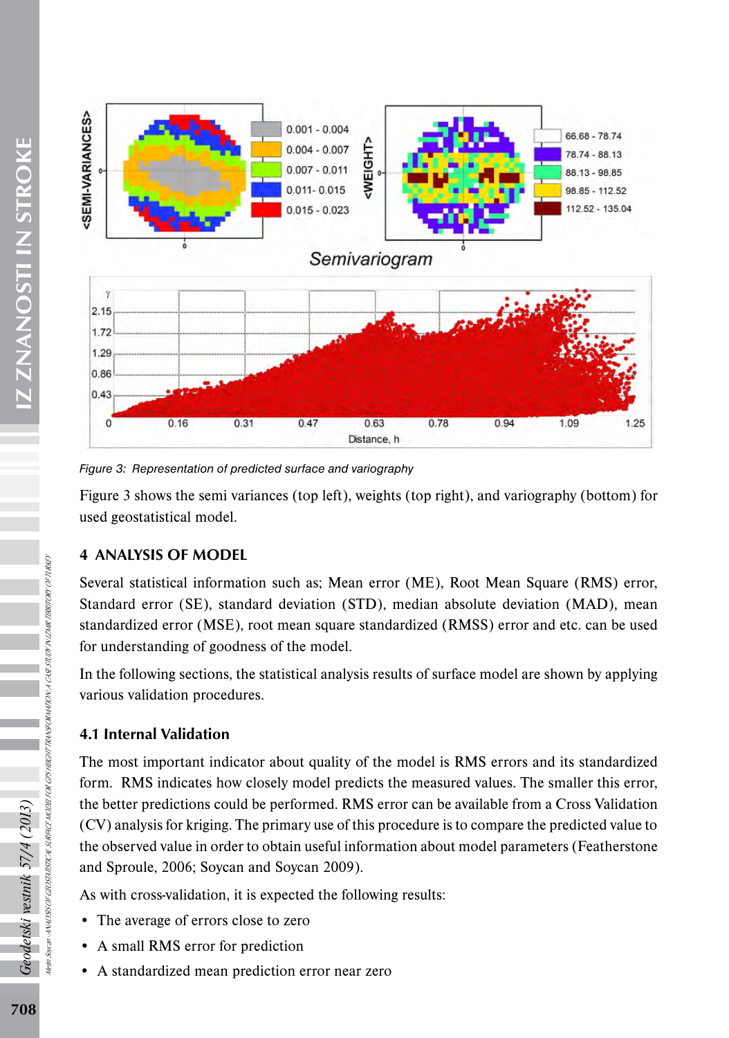

*Figure 3: Representation of predicted surface and variography* 

Figure 3 shows the semi variances (top left), weights (top right), and variography (bottom) for used geostatistical model.

# 4 ANALYSIS OF MODEL

Several statistical information such as; Mean error (ME), Root Mean Square (RMS) error, Standard error (SE), standard deviation (STD), median absolute deviation (MAD), mean standardized error (MSE), root mean square standardized (RMSS) error and etc. can be used for understanding of goodness of the model.

In the following sections, the statistical analysis results of surface model are shown by applying various validation procedures.

# 4.1 Internal Validation

The most important indicator about quality of the model is RMS errors and its standardized form. RMS indicates how closely model predicts the measured values. The smaller this error, the better predictions could be performed. RMS error can be available from a Cross Validation (CV) analysis for kriging. The primary use of this procedure is to compare the predicted value to the observed value in order to obtain useful information about model parameters (Featherstone and Sproule, 2006; Soycan and Soycan 2009).

As with cross-validation, it is expected the following results:

- The average of errors close to zero
- A small RMS error for prediction
- A standardized mean prediction error near zero

Metin Soycan - ANALYSIS OF GEOSTATISTICAL SURFACE MODEL FOR GPS HEIGHT TRANSFORMATION: A CASE STUDY IN IZMIR TERRITORY OF TURKEY

NYUYSI OF GEOSTITISTICAL SURFICE MODEL FOR GPS HEICHT TRANSFORMATION: A CASE STUDY NYZHIN TERRITORY OF TURKEY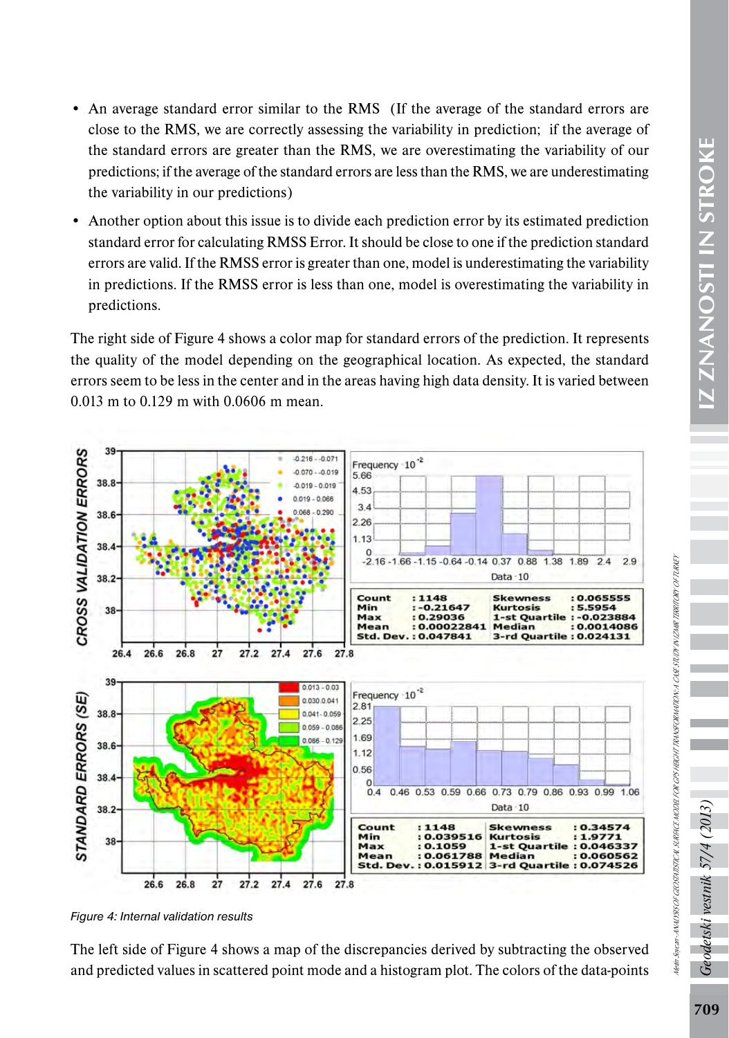• Another option about this issue is to divide each prediction error by its estimated prediction standard error for calculating RMSS Error. It should be close to one if the prediction standard errors are valid. If the RMSS error is greater than one, model is underestimating the variability in predictions. If the RMSS error is less than one, model is overestimating the variability in predictions.

The right side of Figure 4 shows a color map for standard errors of the prediction. It represents the quality of the model depending on the geographical location. As expected, the standard errors seem to be less in the center and in the areas having high data density. It is varied between 0.013 m to 0.129 m with 0.0606 m mean.



*Figure 4: Internal validation results*

The left side of Figure 4 shows a map of the discrepancies derived by subtracting the observed and predicted values in scattered point mode and a histogram plot. The colors of the data-points

<u>توم</u>

pdetski vestnik 57/4

Metin Soycan - ANALYSIS OF GEOSTATISTICAL SURFACE MODEL FOR GPS HEIGHT TRANSFORMATION: A CASE STUDY IN IZMIR TERRITORY OF TURKEY

Netin Sovan-AWAUYSIS OF GEOSTATSTICAL SURFACE MODEL FOR GPS HEIGHT TRANSFORMATION A CASE STUDY IN IZMIR TERRITORY OF TURKEY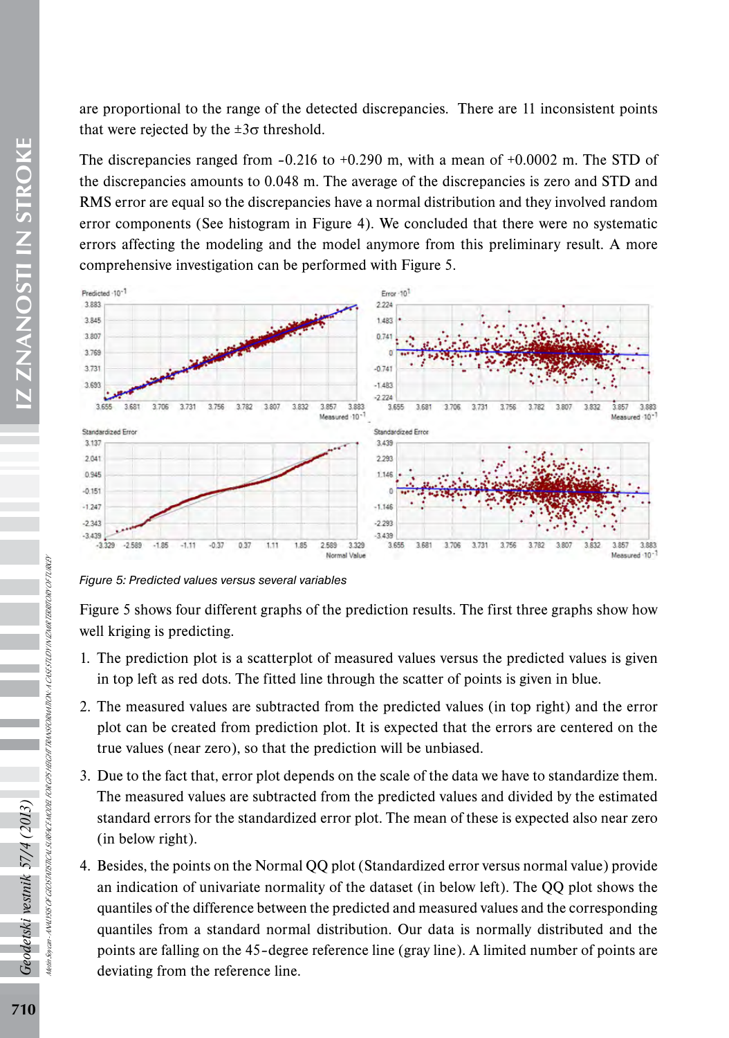are proportional to the range of the detected discrepancies. There are 11 inconsistent points that were rejected by the  $\pm 3\sigma$  threshold.

The discrepancies ranged from *–*0.216 to +0.290 m, with a mean of +0.0002 m. The STD of the discrepancies amounts to 0.048 m. The average of the discrepancies is zero and STD and RMS error are equal so the discrepancies have a normal distribution and they involved random error components (See histogram in Figure 4). We concluded that there were no systematic errors affecting the modeling and the model anymore from this preliminary result. A more comprehensive investigation can be performed with Figure 5.



*Figure 5: Predicted values versus several variables* 

Figure 5 shows four different graphs of the prediction results. The first three graphs show how well kriging is predicting.

- 1. The prediction plot is a scatterplot of measured values versus the predicted values is given in top left as red dots. The fitted line through the scatter of points is given in blue.
- 2. The measured values are subtracted from the predicted values (in top right) and the error plot can be created from prediction plot. It is expected that the errors are centered on the true values (near zero), so that the prediction will be unbiased.
- 3. Due to the fact that, error plot depends on the scale of the data we have to standardize them. The measured values are subtracted from the predicted values and divided by the estimated standard errors for the standardized error plot. The mean of these is expected also near zero (in below right).
- 4. Besides, the points on the Normal QQ plot (Standardized error versus normal value) provide an indication of univariate normality of the dataset (in below left). The QQ plot shows the quantiles of the difference between the predicted and measured values and the corresponding quantiles from a standard normal distribution. Our data is normally distributed and the points are falling on the 45*–*degree reference line (gray line). A limited number of points are deviating from the reference line.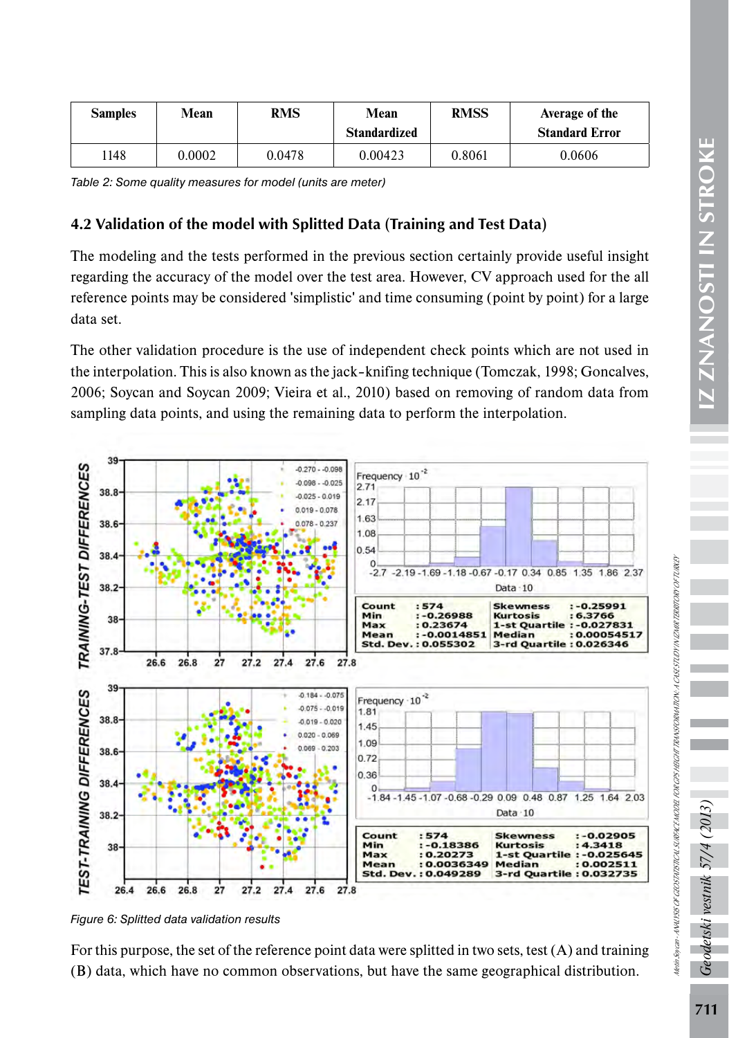| <b>Samples</b> | Mean   | RMS    | Mean<br><b>Standardized</b> | <b>RMSS</b> | Average of the<br><b>Standard Error</b> |  |
|----------------|--------|--------|-----------------------------|-------------|-----------------------------------------|--|
| 148            | 0.0002 | 0.0478 | 0.00423                     | 0.8061      | 0.0606                                  |  |

*Table 2: Some quality measures for model (units are meter)*

## 4.2 Validation of the model with Splitted Data (Training and Test Data)

The modeling and the tests performed in the previous section certainly provide useful insight regarding the accuracy of the model over the test area. However, CV approach used for the all reference points may be considered 'simplistic' and time consuming (point by point) for a large data set.

The other validation procedure is the use of independent check points which are not used in the interpolation. This is also known as the jack*–*knifing technique (Tomczak, 1998; Goncalves, 2006; Soycan and Soycan 2009; Vieira et al., 2010) based on removing of random data from sampling data points, and using the remaining data to perform the interpolation.



*Figure 6: Splitted data validation results* 

For this purpose, the set of the reference point data were splitted in two sets, test (A) and training (B) data, which have no common observations, but have the same geographical distribution.

Metin Soycan - ANALYSIS OF GEOSTATISTICAL SURFACE MODEL FOR GPS HEIGHT TRANSFORMATION: A CASE STUDY IN IZMIR TERRITORY OF TURKEY

Metin Soican-AVALYSIS OF GEOSTATSTICAL SURFACE MODEL FOR GPS HEGHT TRANSFORMATION: A CASESTUDY IN IZMIK TERRITORY OF TURKEP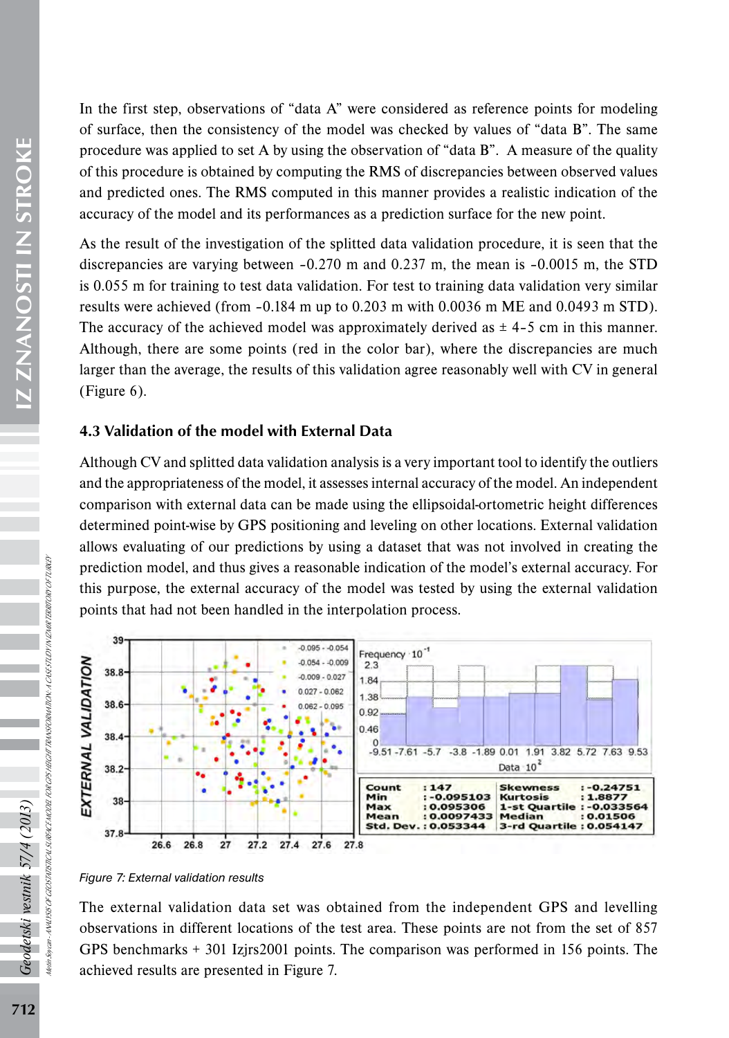In the first step, observations of "data A" were considered as reference points for modeling of surface, then the consistency of the model was checked by values of "data B". The same procedure was applied to set A by using the observation of "data B". A measure of the quality of this procedure is obtained by computing the RMS of discrepancies between observed values and predicted ones. The RMS computed in this manner provides a realistic indication of the accuracy of the model and its performances as a prediction surface for the new point.

As the result of the investigation of the splitted data validation procedure, it is seen that the discrepancies are varying between *–*0.270 m and 0.237 m, the mean is *–*0.0015 m, the STD is 0.055 m for training to test data validation. For test to training data validation very similar results were achieved (from *–*0.184 m up to 0.203 m with 0.0036 m ME and 0.0493 m STD). The accuracy of the achieved model was approximately derived as ± 4*–*5 cm in this manner. Although, there are some points (red in the color bar), where the discrepancies are much larger than the average, the results of this validation agree reasonably well with CV in general (Figure 6).

# 4.3 Validation of the model with External Data

Although CV and splitted data validation analysis is a very important tool to identify the outliers and the appropriateness of the model, it assesses internal accuracy of the model. An independent comparison with external data can be made using the ellipsoidal-ortometric height differences determined point-wise by GPS positioning and leveling on other locations. External validation allows evaluating of our predictions by using a dataset that was not involved in creating the prediction model, and thus gives a reasonable indication of the model's external accuracy. For this purpose, the external accuracy of the model was tested by using the external validation points that had not been handled in the interpolation process.



*Figure 7: External validation results*

The external validation data set was obtained from the independent GPS and levelling observations in different locations of the test area. These points are not from the set of 857 GPS benchmarks + 301 Izjrs2001 points. The comparison was performed in 156 points. The achieved results are presented in Figure 7.

 $Ge$ 

odetski vestnik 57/4 (2013)

Metin Soycan - ANALYSIS OF GEOSTATISTICAL SURFACE MODEL FOR GPS HEIGHT TRANSFORMATION: A CASE STUDY IN IZMIR TERRITORY OF TURKEY

ANNI 958 OF GEOSTATSTICAL SURFICE MODEL FOR OPS HEECHT TRANSFORMATION, A CASESTLID I'N IZMIK TERRITORY OF TURKE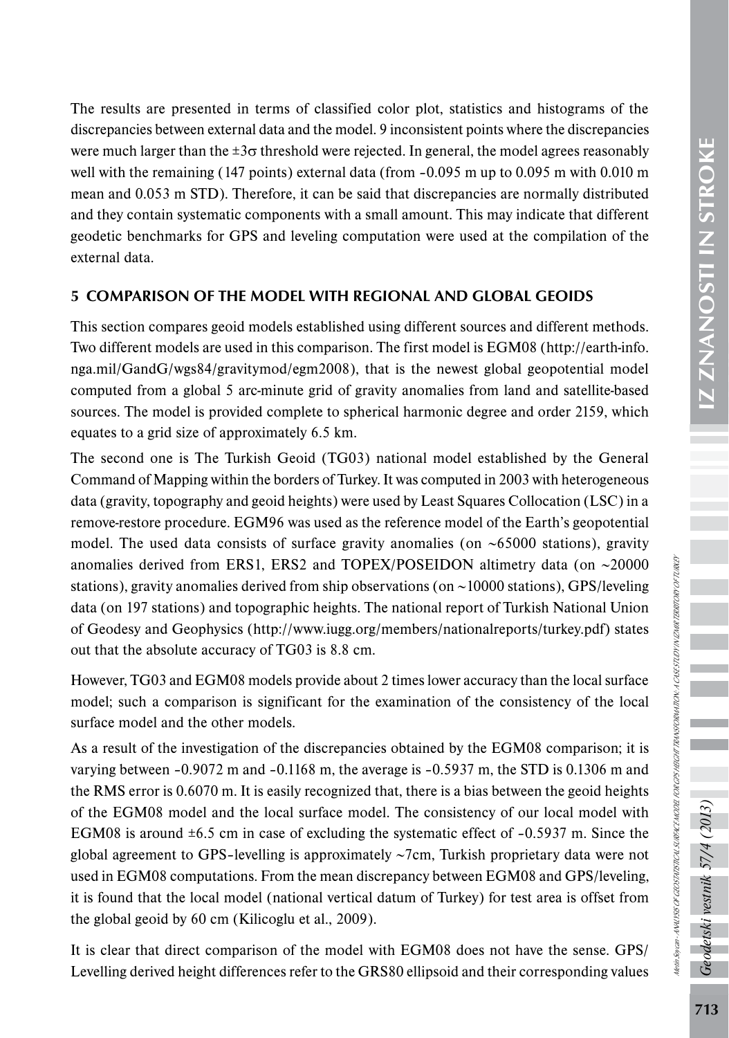The results are presented in terms of classified color plot, statistics and histograms of the discrepancies between external data and the model. 9 inconsistent points where the discrepancies were much larger than the  $\pm 3\sigma$  threshold were rejected. In general, the model agrees reasonably well with the remaining (147 points) external data (from *–*0.095 m up to 0.095 m with 0.010 m mean and 0.053 m STD). Therefore, it can be said that discrepancies are normally distributed and they contain systematic components with a small amount. This may indicate that different geodetic benchmarks for GPS and leveling computation were used at the compilation of the

# 5 COMPARISON OF THE MODEL WITH REGIONAL AND GLOBAL GEOIDS

external data.

This section compares geoid models established using different sources and different methods. Two different models are used in this comparison. The first model is EGM08 ([http://earth-info.](http://earth-info.nga.mil/GandG/wgs84/gravitymod/egm2008) [nga.mil/GandG/wgs84/gravitymod/egm2008\)](http://earth-info.nga.mil/GandG/wgs84/gravitymod/egm2008), that is the newest global geopotential model computed from a global 5 arc-minute grid of gravity anomalies from land and satellite-based sources. The model is provided complete to spherical harmonic degree and order 2159, which equates to a grid size of approximately 6.5 km.

The second one is The Turkish Geoid (TG03) national model established by the General Command of Mapping within the borders of Turkey. It was computed in 2003 with heterogeneous data (gravity, topography and geoid heights) were used by Least Squares Collocation (LSC) in a remove-restore procedure. EGM96 was used as the reference model of the Earth's geopotential model. The used data consists of surface gravity anomalies (on ∼65000 stations), gravity anomalies derived from ERS1, ERS2 and TOPEX/POSEIDON altimetry data (on ∼20000 stations), gravity anomalies derived from ship observations (on ∼10000 stations), GPS/leveling data (on 197 stations) and topographic heights. The national report of Turkish National Union of Geodesy and Geophysics (<http://www.iugg.org/members/nationalreports/turkey.pdf>) states out that the absolute accuracy of TG03 is 8.8 cm.

However, TG03 and EGM08 models provide about 2 times lower accuracy than the local surface model; such a comparison is significant for the examination of the consistency of the local surface model and the other models.

As a result of the investigation of the discrepancies obtained by the EGM08 comparison; it is varying between *–*0.9072 m and *–*0.1168 m, the average is *–*0.5937 m, the STD is 0.1306 m and the RMS error is 0.6070 m. It is easily recognized that, there is a bias between the geoid heights of the EGM08 model and the local surface model. The consistency of our local model with EGM08 is around ±6.5 cm in case of excluding the systematic effect of *–*0.5937 m. Since the global agreement to GPS*–*levelling is approximately ∼7cm, Turkish proprietary data were not used in EGM08 computations. From the mean discrepancy between EGM08 and GPS/leveling, it is found that the local model (national vertical datum of Turkey) for test area is offset from the global geoid by 60 cm (Kilicoglu et al., 2009).

It is clear that direct comparison of the model with EGM08 does not have the sense. GPS/ Levelling derived height differences refer to the GRS80 ellipsoid and their corresponding values Geodetski vestnik 57/4 (2013)

Metin Soycan - ANALYSIS OF GEOSTATISTICAL SURFACE MODEL FOR GPS HEIGHT TRANSFORMATION: A CASE STUDY IN IZMIR TERRITORY OF TURKEY

Nettin Soycan - ANALISIS OF GEOSTATSTICAL SURFACE MODEL FOR OPS HEENT TRANSFORMATION: A CASESTUDI I'N UNIM TERRITORI I OFTURKER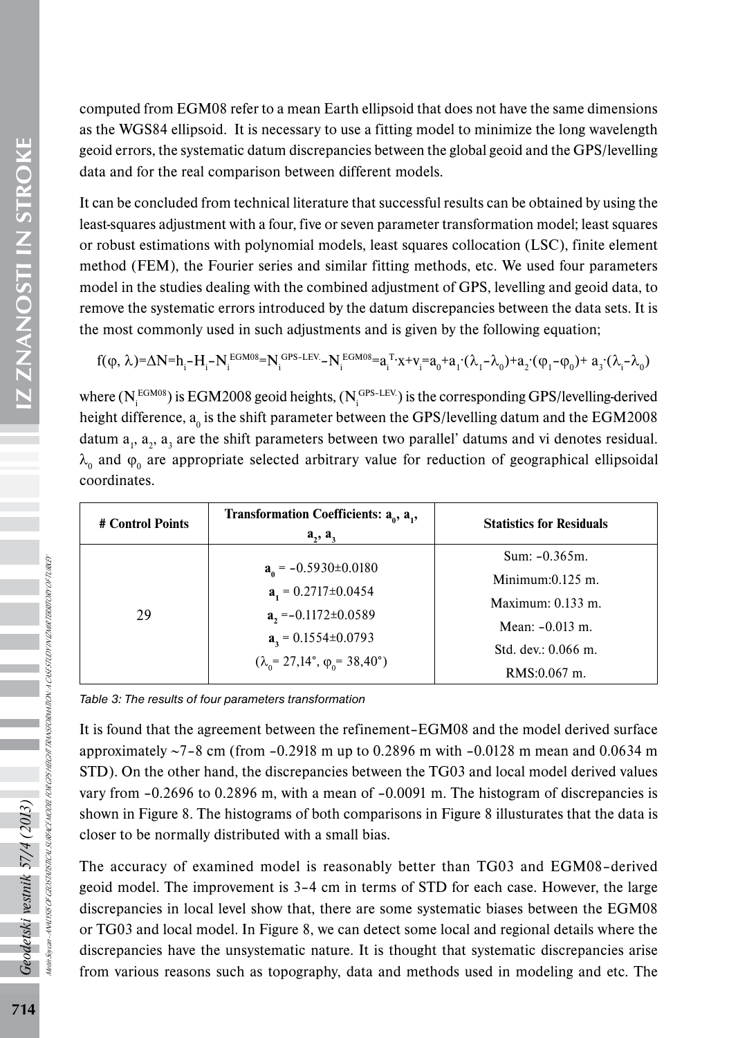computed from EGM08 refer to a mean Earth ellipsoid that does not have the same dimensions as the WGS84 ellipsoid. It is necessary to use a fitting model to minimize the long wavelength geoid errors, the systematic datum discrepancies between the global geoid and the GPS/levelling data and for the real comparison between different models.

It can be concluded from technical literature that successful results can be obtained by using the least-squares adjustment with a four, five or seven parameter transformation model; least squares or robust estimations with polynomial models, least squares collocation (LSC), finite element method (FEM), the Fourier series and similar fitting methods, etc. We used four parameters model in the studies dealing with the combined adjustment of GPS, levelling and geoid data, to remove the systematic errors introduced by the datum discrepancies between the data sets. It is the most commonly used in such adjustments and is given by the following equation;

$$
f(\phi, \lambda) = \Delta N = h_{_{1}} - H_{_{i}} - N_{_{i}}^{EGM08} = N_{_{i}}^{GPS-LEV} - N_{_{i}}^{EGM08} = a_{_{i}}^{T} \cdot x + v_{_{i}} = a_{_{0}} + a_{_{1}} \cdot (\lambda_{_{1}} - \lambda_{_{0}}) + a_{_{2}} \cdot (\phi_{_{1}} - \phi_{_{0}}) + a_{_{3}} \cdot (\lambda_{_{i}} - \lambda_{_{0}})
$$

where ( $N_i^{EGM08}$ ) is EGM2008 geoid heights, ( $N_i^{GPS-LEV}$ ) is the corresponding GPS/levelling-derived height difference,  $a_0$  is the shift parameter between the GPS/levelling datum and the EGM2008 datum  $a_1$ ,  $a_2$ ,  $a_3$  are the shift parameters between two parallel' datums and vi denotes residual.  $\lambda_0$  and  $\varphi_0$  are appropriate selected arbitrary value for reduction of geographical ellipsoidal coordinates.

| # Control Points | Transformation Coefficients: $a_0$ , $a_1$ ,<br>$a_{2}$ , $a_{3}$                                                                                                              | <b>Statistics for Residuals</b>                                                                                            |
|------------------|--------------------------------------------------------------------------------------------------------------------------------------------------------------------------------|----------------------------------------------------------------------------------------------------------------------------|
| 29               | $a_0 = -0.5930 \pm 0.0180$<br>$a_1 = 0.2717 \pm 0.0454$<br>$a_2 = -0.1172 \pm 0.0589$<br>$a_2 = 0.1554 \pm 0.0793$<br>$(\lambda_0 = 27.14^{\circ}, \varphi_0 = 38.40^{\circ})$ | Sum: $-0.365m$ .<br>Minimum: $0.125$ m.<br>Maximum: $0.133$ m.<br>Mean: $-0.013$ m.<br>Std. dev.: 0.066 m.<br>RMS:0.067 m. |

*Table 3: The results of four parameters transformation* 

It is found that the agreement between the refinement–EGM08 and the model derived surface approximately ~7–8 cm (from –0.2918 m up to 0.2896 m with –0.0128 m mean and 0.0634 m STD). On the other hand, the discrepancies between the TG03 and local model derived values vary from –0.2696 to 0.2896 m, with a mean of –0.0091 m. The histogram of discrepancies is shown in Figure 8. The histograms of both comparisons in Figure 8 illusturates that the data is closer to be normally distributed with a small bias.

The accuracy of examined model is reasonably better than TG03 and EGM08–derived geoid model. The improvement is 3–4 cm in terms of STD for each case. However, the large discrepancies in local level show that, there are some systematic biases between the EGM08 or TG03 and local model. In Figure 8, we can detect some local and regional details where the discrepancies have the unsystematic nature. It is thought that systematic discrepancies arise from various reasons such as topography, data and methods used in modeling and etc. The

Geodetski vestnik 57/4 (2013)

Metin Soycan - ANALYSIS OF GEOSTATISTICAL SURFACE MODEL FOR GPS HEIGHT TRANSFORMATION: A CASE STUDY IN IZMIR TERRITORY OF TURKEY

ANNI 1989 OF GEOSTATS TICAL SURFACE MODEL FOR OPS HERCHT TRANSFORMATION, A CASESTO DI WIZMIR TERRITORY OF TURKE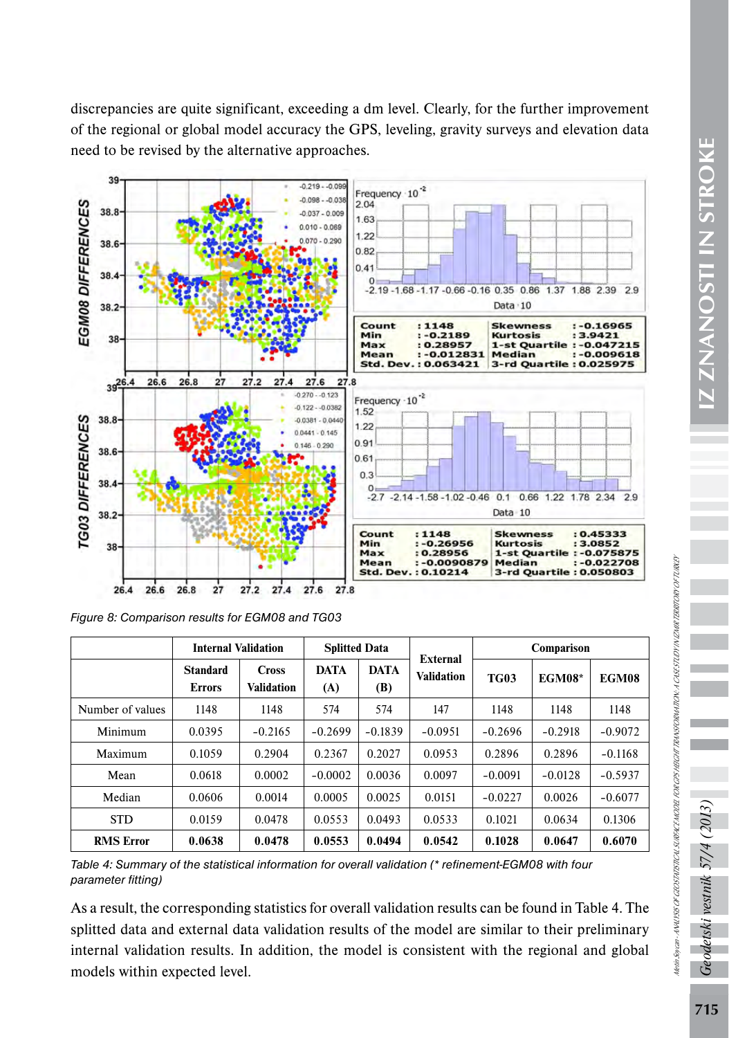discrepancies are quite significant, exceeding a dm level. Clearly, for the further improvement of the regional or global model accuracy the GPS, leveling, gravity surveys and elevation data need to be revised by the alternative approaches.



*Figure 8: Comparison results for EGM08 and TG03*

|                  | <b>Internal Validation</b>       |                                   | <b>Splitted Data</b> |                    |                               | Comparison  |               |           |
|------------------|----------------------------------|-----------------------------------|----------------------|--------------------|-------------------------------|-------------|---------------|-----------|
|                  | <b>Standard</b><br><b>Errors</b> | <b>Cross</b><br><b>Validation</b> | <b>DATA</b><br>(A)   | <b>DATA</b><br>(B) | External<br><b>Validation</b> | <b>TG03</b> | <b>EGM08*</b> | EGM08     |
| Number of values | 1148                             | 1148                              | 574                  | 574                | 147                           | 1148        | 1148          | 1148      |
| Minimum          | 0.0395                           | $-0.2165$                         | $-0.2699$            | $-0.1839$          | $-0.0951$                     | $-0.2696$   | $-0.2918$     | $-0.9072$ |
| Maximum          | 0.1059                           | 0.2904                            | 0.2367               | 0.2027             | 0.0953                        | 0.2896      | 0.2896        | $-0.1168$ |
| Mean             | 0.0618                           | 0.0002                            | $-0.0002$            | 0.0036             | 0.0097                        | $-0.0091$   | $-0.0128$     | $-0.5937$ |
| Median           | 0.0606                           | 0.0014                            | 0.0005               | 0.0025             | 0.0151                        | $-0.0227$   | 0.0026        | $-0.6077$ |
| <b>STD</b>       | 0.0159                           | 0.0478                            | 0.0553               | 0.0493             | 0.0533                        | 0.1021      | 0.0634        | 0.1306    |
| <b>RMS Error</b> | 0.0638                           | 0.0478                            | 0.0553               | 0.0494             | 0.0542                        | 0.1028      | 0.0647        | 0.6070    |

*Table 4: Summary of the statistical information for overall validation (\* refinement-EGM08 with four parameter fitting)* 

As a result, the corresponding statistics for overall validation results can be found in Table 4. The splitted data and external data validation results of the model are similar to their preliminary internal validation results. In addition, the model is consistent with the regional and global models within expected level.

ع<br>ج

detski vestnik 57/4

Metin Soycan - ANALYSIS OF GEOSTATISTICAL SURFACE MODEL FOR GPS HEIGHT TRANSFORMATION: A CASE STUDY IN IZMIR TERRITORY OF TURKEY

Netin Socan-AWALYSIS OF GEOSTATSTICAL SURFACE MODEL FOR GIS HEGHT TRANSFORMATION: A CASESTUDY NUZHINE TERRITUR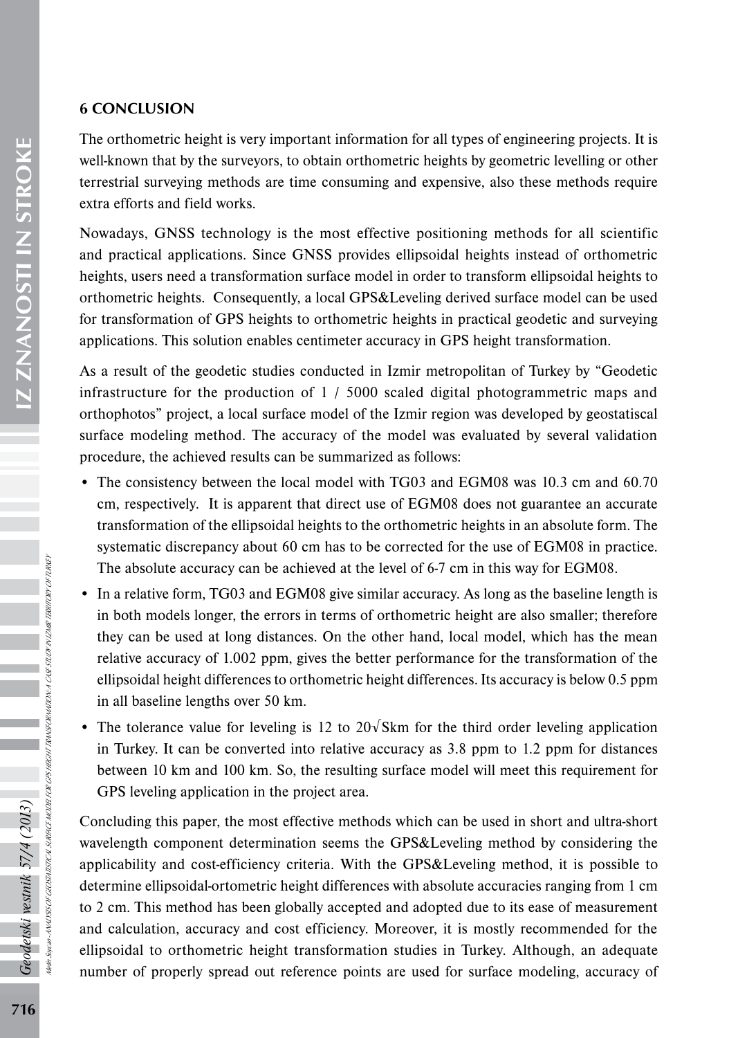# 6 CONCLUSION

The orthometric height is very important information for all types of engineering projects. It is well-known that by the surveyors, to obtain orthometric heights by geometric levelling or other terrestrial surveying methods are time consuming and expensive, also these methods require extra efforts and field works.

Nowadays, GNSS technology is the most effective positioning methods for all scientific and practical applications. Since GNSS provides ellipsoidal heights instead of orthometric heights, users need a transformation surface model in order to transform ellipsoidal heights to orthometric heights. Consequently, a local GPS&Leveling derived surface model can be used for transformation of GPS heights to orthometric heights in practical geodetic and surveying applications. This solution enables centimeter accuracy in GPS height transformation.

As a result of the geodetic studies conducted in Izmir metropolitan of Turkey by "Geodetic infrastructure for the production of 1 / 5000 scaled digital photogrammetric maps and orthophotos" project, a local surface model of the Izmir region was developed by geostatiscal surface modeling method. The accuracy of the model was evaluated by several validation procedure, the achieved results can be summarized as follows:

- The consistency between the local model with TG03 and EGM08 was 10.3 cm and 60.70 cm, respectively. It is apparent that direct use of EGM08 does not guarantee an accurate transformation of the ellipsoidal heights to the orthometric heights in an absolute form. The systematic discrepancy about 60 cm has to be corrected for the use of EGM08 in practice. The absolute accuracy can be achieved at the level of 6-7 cm in this way for EGM08.
- In a relative form, TG03 and EGM08 give similar accuracy. As long as the baseline length is in both models longer, the errors in terms of orthometric height are also smaller; therefore they can be used at long distances. On the other hand, local model, which has the mean relative accuracy of 1.002 ppm, gives the better performance for the transformation of the ellipsoidal height differences to orthometric height differences. Its accuracy is below 0.5 ppm in all baseline lengths over 50 km.
- The tolerance value for leveling is 12 to  $20\sqrt{8}$ km for the third order leveling application in Turkey. It can be converted into relative accuracy as 3.8 ppm to 1.2 ppm for distances between 10 km and 100 km. So, the resulting surface model will meet this requirement for GPS leveling application in the project area.

Concluding this paper, the most effective methods which can be used in short and ultra-short wavelength component determination seems the GPS&Leveling method by considering the applicability and cost-efficiency criteria. With the GPS&Leveling method, it is possible to determine ellipsoidal-ortometric height differences with absolute accuracies ranging from 1 cm to 2 cm. This method has been globally accepted and adopted due to its ease of measurement and calculation, accuracy and cost efficiency. Moreover, it is mostly recommended for the ellipsoidal to orthometric height transformation studies in Turkey. Although, an adequate number of properly spread out reference points are used for surface modeling, accuracy of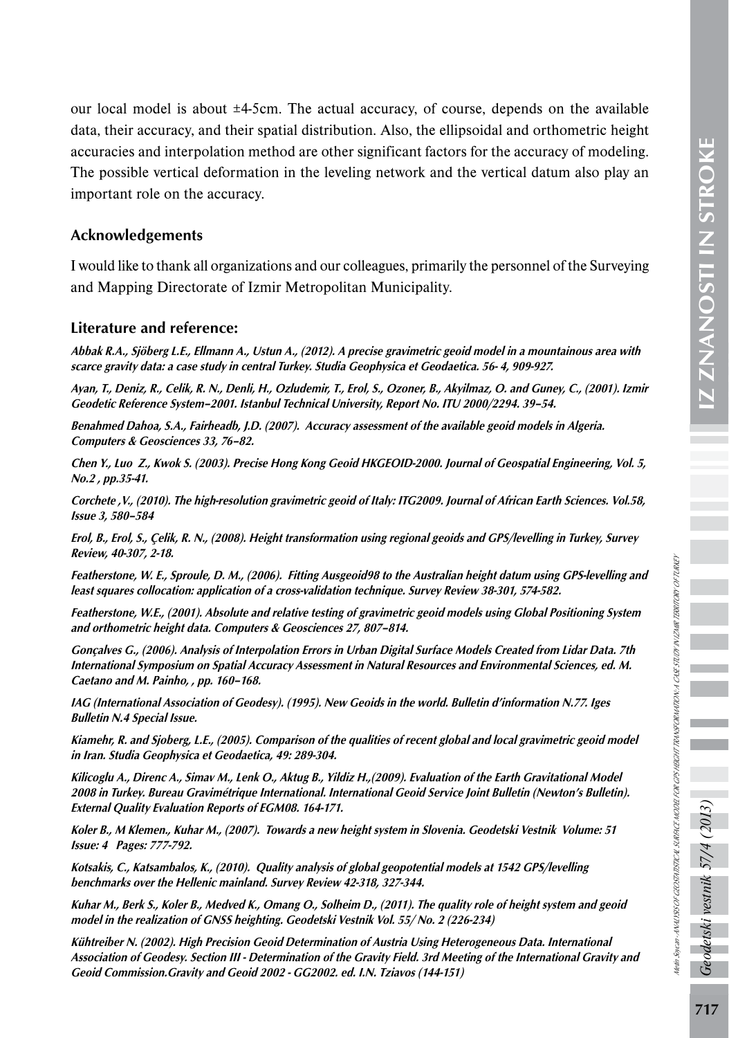our local model is about ±4-5cm. The actual accuracy, of course, depends on the available data, their accuracy, and their spatial distribution. Also, the ellipsoidal and orthometric height accuracies and interpolation method are other significant factors for the accuracy of modeling. The possible vertical deformation in the leveling network and the vertical datum also play an important role on the accuracy.

### Acknowledgements

I would like to thank all organizations and our colleagues, primarily the personnel of the Surveying and Mapping Directorate of Izmir Metropolitan Municipality.

#### Literature and reference:

Abbak R.A., Sjöberg L.E., Ellmann A., Ustun A., (2012). A precise gravimetric geoid model in a mountainous area with scarce gravity data: a case study in central Turkey. Studia Geophysica et Geodaetica. 56- 4, 909-927.

Ayan, T., Deniz, R., Celik, R. N., Denli, H., Ozludemir, T., Erol, S., Ozoner, B., Akyilmaz, O. and Guney, C., (2001). Izmir Geodetic Reference System–2001. Istanbul Technical University, Report No. ITU 2000/2294. 39–54.

Benahmed Dahoa, S.A., Fairheadb, J.D. (2007). Accuracy assessment of the available geoid models in Algeria. Computers & Geosciences 33, 76–82.

Chen Y., Luo Z., Kwok S. (2003). Precise Hong Kong Geoid HKGEOID-2000. Journal of Geospatial Engineering, Vol. 5, No.2 , pp.35-41.

Corchete ,V., (2010). The high-resolution gravimetric geoid of Italy: ITG2009. Journal of African Earth Sciences. Vol.58, Issue 3, 580–584

Erol, B., Erol, S., Çelik, R. N., (2008). Height transformation using regional geoids and GPS/levelling in Turkey, Survey Review, 40-307, 2-18.

Featherstone, W. E., Sproule, D. M., (2006). Fitting Ausgeoid98 to the Australian height datum using GPS-levelling and least squares collocation: application of a cross-validation technique. Survey Review 38-301, 574-582.

Featherstone, W.E., (2001). Absolute and relative testing of gravimetric geoid models using Global Positioning System and orthometric height data. Computers & Geosciences 27, 807–814.

Gonçalves G., (2006). Analysis of Interpolation Errors in Urban Digital Surface Models Created from Lidar Data. 7th International Symposium on Spatial Accuracy Assessment in Natural Resources and Environmental Sciences, ed. M. Caetano and M. Painho, , pp. 160–168.

IAG (International Association of Geodesy). (1995). New Geoids in the world. Bulletin d'information N.77. Iges Bulletin N.4 Special Issue.

Kiamehr, R. and Sjoberg, L.E., (2005). Comparison of the qualities of recent global and local gravimetric geoid model in Iran. Studia Geophysica et Geodaetica, 49: 289-304.

Kilicoglu A., Direnc A., Simav M., Lenk O., Aktug B., Yildiz H.,(2009). Evaluation of the Earth Gravitational Model 2008 in Turkey. Bureau Gravimétrique International. International Geoid Service Joint Bulletin (Newton's Bulletin). External Quality Evaluation Reports of EGM08. 164-171.

Koler B., M Klemen., Kuhar M., (2007). Towards a new height system in Slovenia. Geodetski Vestnik Volume: 51 Issue: 4 Pages: 777-792.

Kotsakis, C., Katsambalos, K., (2010). Quality analysis of global geopotential models at 1542 GPS/levelling benchmarks over the Hellenic mainland. Survey Review 42-318, 327-344.

Kuhar M., Berk S., Koler B., Medved K., Omang O., Solheim D., (2011). The quality role of height system and geoid model in the realization of GNSS heighting. Geodetski Vestnik Vol. 55/ No. 2 (226-234)

Kühtreiber N. (2002). High Precision Geoid Determination of Austria Using Heterogeneous Data. International Association of Geodesy. Section III - Determination of the Gravity Field. 3rd Meeting of the International Gravity and Geoid Commission.Gravity and Geoid 2002 - GG2002. ed. I.N. Tziavos (144-151)

vestnik 57/4

detski

Metin Soycan - ANALYSIS OF GEOSTATISTICAL SURFACE MODEL FOR GPS HEIGHT TRANSFORMATION: A CASE STUDY IN IZMIR TERRITORY OF TURKEY

tein Soycan - ANALYSK OF GEOSTATSTICAL SURFACE HOOBE FOR GPS HERCHT TRANSFORMATION: A CASE STUDY NUZIMIR TERRITORY OF TURKEY